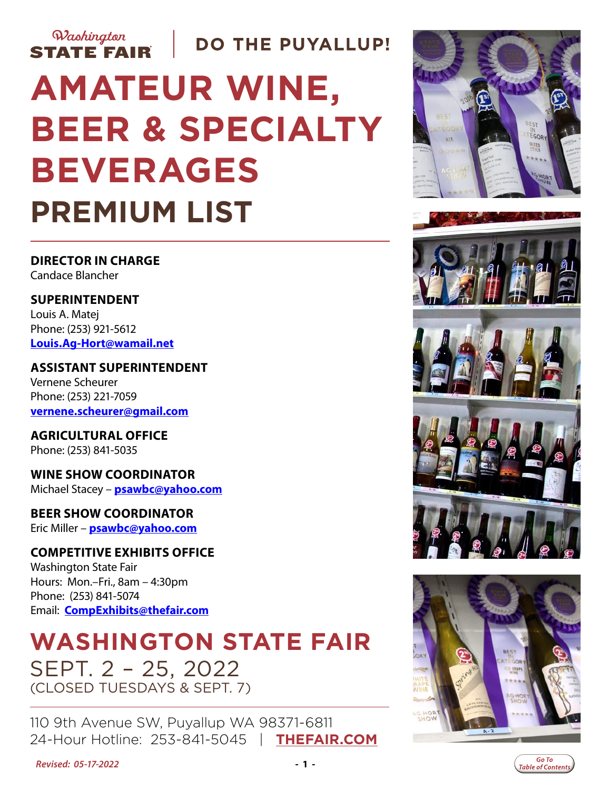

# **AMATEUR WINE, BEER & SPECIALTY BEVERAGES PREMIUM LIST**

**DIRECTOR IN CHARGE** Candace Blancher

**SUPERINTENDENT** Louis A. Matej Phone: (253) 921-5612 **[Louis.Ag-Hort@wamail.net](mailto:Louis.Ag-Hort%40wamail.net?subject=Amateur%20Beer%20%26%20Wine%20Show%20)**

**ASSISTANT SUPERINTENDENT** Vernene Scheurer Phone: (253) 221-7059 **[vernene.scheurer@gmail.com](mailto:vernene.scheurer%40gmail.com?subject=)**

**AGRICULTURAL OFFICE** Phone: (253) 841-5035

**WINE SHOW COORDINATOR** Michael Stacey – **[psawbc@yahoo.com](mailto:psawbc%40yahoo.com?subject=Amateur%20Wine%20Show)**

**BEER SHOW COORDINATOR** Eric Miller – **psawbc@yahoo.com**

**COMPETITIVE EXHIBITS OFFICE**

Washington State Fair Hours: Mon.–Fri., 8am – 4:30pm Phone: (253) 841-5074 Email: **[CompExhibits@thefair.com](mailto:CompExhibits%40thefair.com?subject=Amateur%20Beer%20and%20Wine%20show)**

## **WASHINGTON STATE FAIR** SEPT. 2 – 25, 2022 (CLOSED TUESDAYS & SEPT. 7)

110 9th Avenue SW, Puyallup WA 98371-6811 24-Hour Hotline: 253-841-5045 | **[THEFAIR.COM](http://www.thefair.com)**









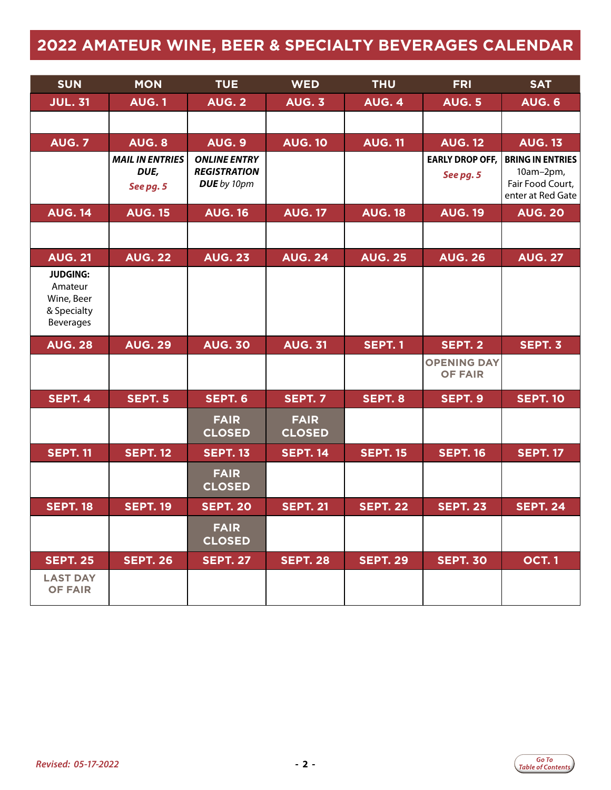### <span id="page-1-0"></span>**2022 AMATEUR WINE, BEER & SPECIALTY BEVERAGES CALENDAR**

| <b>SUN</b>                                                                  | <b>MON</b>                                  | <b>TUE</b>                                                | <b>WED</b>                   | <b>THU</b>      | <b>FRI</b>                           | <b>SAT</b>                                                                    |
|-----------------------------------------------------------------------------|---------------------------------------------|-----------------------------------------------------------|------------------------------|-----------------|--------------------------------------|-------------------------------------------------------------------------------|
| <b>JUL. 31</b>                                                              | <b>AUG.1</b>                                | <b>AUG. 2</b>                                             | <b>AUG. 3</b>                | AUG. 4          | <b>AUG. 5</b>                        | <b>AUG. 6</b>                                                                 |
|                                                                             |                                             |                                                           |                              |                 |                                      |                                                                               |
| <b>AUG. 7</b>                                                               | <b>AUG. 8</b>                               | <b>AUG. 9</b>                                             | <b>AUG. 10</b>               | <b>AUG. 11</b>  | <b>AUG. 12</b>                       | <b>AUG. 13</b>                                                                |
|                                                                             | <b>MAIL IN ENTRIES</b><br>DUE,<br>See pg. 5 | <b>ONLINE ENTRY</b><br><b>REGISTRATION</b><br>DUE by 10pm |                              |                 | <b>EARLY DROP OFF,</b><br>See pg. 5  | <b>BRING IN ENTRIES</b><br>10am-2pm,<br>Fair Food Court,<br>enter at Red Gate |
| <b>AUG. 14</b>                                                              | <b>AUG. 15</b>                              | <b>AUG. 16</b>                                            | <b>AUG. 17</b>               | <b>AUG. 18</b>  | <b>AUG. 19</b>                       | <b>AUG. 20</b>                                                                |
|                                                                             |                                             |                                                           |                              |                 |                                      |                                                                               |
| <b>AUG. 21</b>                                                              | <b>AUG. 22</b>                              | <b>AUG. 23</b>                                            | <b>AUG. 24</b>               | <b>AUG. 25</b>  | <b>AUG. 26</b>                       | <b>AUG. 27</b>                                                                |
| <b>JUDGING:</b><br>Amateur<br>Wine, Beer<br>& Specialty<br><b>Beverages</b> |                                             |                                                           |                              |                 |                                      |                                                                               |
| <b>AUG. 28</b>                                                              | <b>AUG. 29</b>                              | <b>AUG. 30</b>                                            | <b>AUG. 31</b>               | <b>SEPT. 1</b>  | SEPT. 2                              | SEPT. 3                                                                       |
|                                                                             |                                             |                                                           |                              |                 | <b>OPENING DAY</b><br><b>OF FAIR</b> |                                                                               |
| <b>SEPT. 4</b>                                                              | <b>SEPT. 5</b>                              | <b>SEPT. 6</b>                                            | <b>SEPT. 7</b>               | SEPT. 8         | SEPT. 9                              | <b>SEPT. 10</b>                                                               |
|                                                                             |                                             | <b>FAIR</b><br><b>CLOSED</b>                              | <b>FAIR</b><br><b>CLOSED</b> |                 |                                      |                                                                               |
| <b>SEPT. 11</b>                                                             | <b>SEPT. 12</b>                             | <b>SEPT. 13</b>                                           | <b>SEPT. 14</b>              | <b>SEPT. 15</b> | <b>SEPT. 16</b>                      | <b>SEPT. 17</b>                                                               |
|                                                                             |                                             | <b>FAIR</b><br><b>CLOSED</b>                              |                              |                 |                                      |                                                                               |
| <b>SEPT. 18</b>                                                             | <b>SEPT. 19</b>                             | <b>SEPT. 20</b>                                           | <b>SEPT. 21</b>              | <b>SEPT. 22</b> | <b>SEPT. 23</b>                      | <b>SEPT. 24</b>                                                               |
|                                                                             |                                             | <b>FAIR</b><br><b>CLOSED</b>                              |                              |                 |                                      |                                                                               |
| <b>SEPT. 25</b>                                                             | <b>SEPT. 26</b>                             | <b>SEPT. 27</b>                                           | <b>SEPT. 28</b>              | <b>SEPT. 29</b> | <b>SEPT. 30</b>                      | <b>OCT.1</b>                                                                  |
| <b>LAST DAY</b><br><b>OF FAIR</b>                                           |                                             |                                                           |                              |                 |                                      |                                                                               |

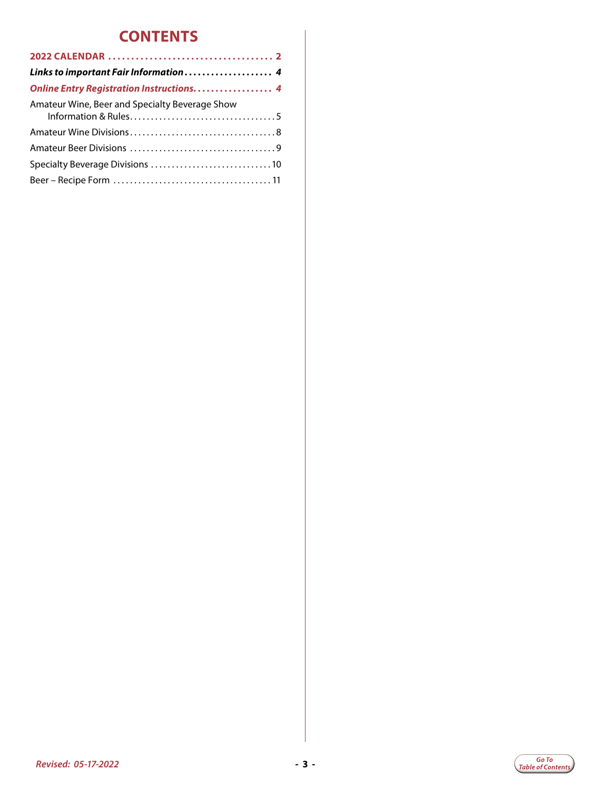### **CONTENTS**

| Links to important Fair Information 4          |
|------------------------------------------------|
| Online Entry Registration Instructions 4       |
| Amateur Wine, Beer and Specialty Beverage Show |
|                                                |
|                                                |
|                                                |
|                                                |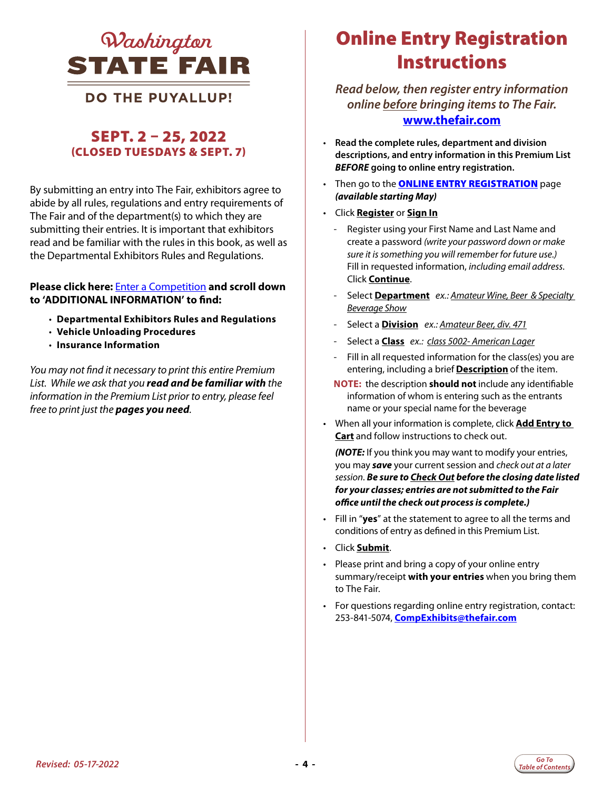<span id="page-3-0"></span>

### **DO THE PUYALLUP!**

### SEPT. 2 – 25, 2022 (CLOSED TUESDAYS & SEPT. 7)

By submitting an entry into The Fair, exhibitors agree to abide by all rules, regulations and entry requirements of The Fair and of the department(s) to which they are submitting their entries. It is important that exhibitors read and be familiar with the rules in this book, as well as the Departmental Exhibitors Rules and Regulations.

#### **Please click here:** [Enter a Competition](https://www.thefair.com/get-involved/competitive-exhibits/) **and scroll down to 'ADDITIONAL INFORMATION' to find:**

- **Departmental Exhibitors Rules and Regulations**
- **Vehicle Unloading Procedures**
- **Insurance Information**

*You may not find it necessary to print this entire Premium List. While we ask that you read and be familiar with the information in the Premium List prior to entry, please feel free to print just the pages you need.* 

### Online Entry Registration **Instructions**

*Read below, then register entry information online before bringing items to The Fair.*  **[www.thefair.com](http://www.thefair.com/)**

- **Read the complete rules, department and division descriptions, and entry information in this Premium List**  *BEFORE* **going to online entry registration.**
- Then go to the **[ONLINE ENTRY REGISTRATION](https://wwf.fairwire.com/)** page *(available starting May)*
- Click **Register** or **Sign In**
	- Register using your First Name and Last Name and create a password *(write your password down or make sure it is something you will remember for future use.)* Fill in requested information, *including email address*. Click **Continue**.
	- Select **Department** *ex.: Amateur Wine, Beer & Specialty Beverage Show*
	- Select a **Division** *ex.: Amateur Beer, div. 471*
	- Select a **Class** *ex.: class 5002- American Lager*
	- Fill in all requested information for the class(es) you are entering, including a brief **Description** of the item.
	- **NOTE:** the description **should not** include any identifiable information of whom is entering such as the entrants name or your special name for the beverage
- When all your information is complete, click **Add Entry to Cart** and follow instructions to check out.

*(NOTE:* If you think you may want to modify your entries, you may *save* your current session and *check out at a later session*. *Be sure to Check Out before the closing date listed for your classes; entries are not submitted to the Fair office until the check out process is complete.)*

- Fill in "**yes**" at the statement to agree to all the terms and conditions of entry as defined in this Premium List.
- Click **Submit**.
- Please print and bring a copy of your online entry summary/receipt **with your entries** when you bring them to The Fair.
- For questions regarding online entry registration, contact: 253-841-5074, **CompExhibits@thefair.com**

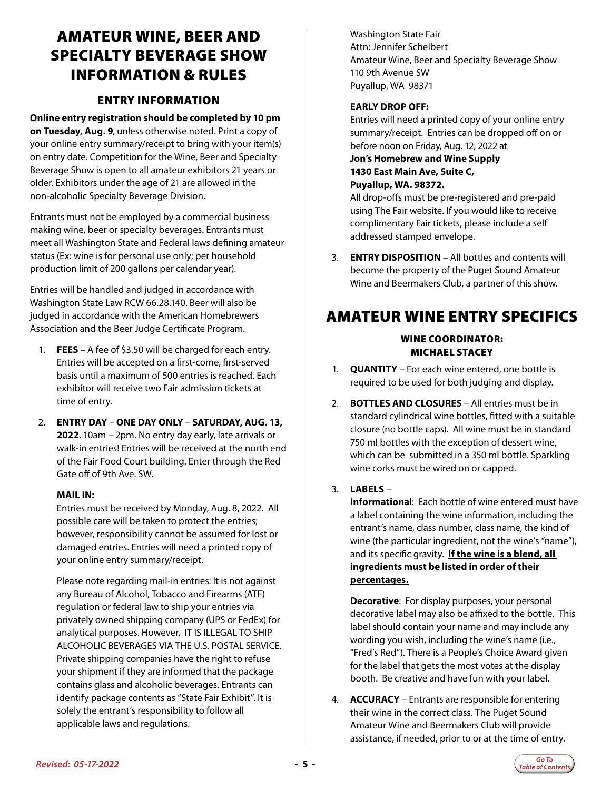### <span id="page-4-0"></span>AMATEUR WINE, BEER AND SPECIALTY BEVERAGE SHOW INFORMATION & RULES

### ENTRY INFORMATION

**Online entry registration should be completed by 10 pm on Tuesday, Aug. 9**, unless otherwise noted. Print a copy of your online entry summary/receipt to bring with your item(s) on entry date. Competition for the Wine, Beer and Specialty Beverage Show is open to all amateur exhibitors 21 years or older. Exhibitors under the age of 21 are allowed in the non-alcoholic Specialty Beverage Division.

Entrants must not be employed by a commercial business making wine, beer or specialty beverages. Entrants must meet all Washington State and Federal laws defining amateur status (Ex: wine is for personal use only; per household production limit of 200 gallons per calendar year).

Entries will be handled and judged in accordance with Washington State Law RCW 66.28.140. Beer will also be judged in accordance with the American Homebrewers Association and the Beer Judge Certificate Program.

- 1. **FEES**  A fee of \$3.50 will be charged for each entry. Entries will be accepted on a first-come, first-served basis until a maximum of 500 entries is reached. Each exhibitor will receive two Fair admission tickets at time of entry.
- 2. **ENTRY DAY ONE DAY ONLY SATURDAY, AUG. 13, 2022**. 10am – 2pm. No entry day early, late arrivals or walk-in entries! Entries will be received at the north end of the Fair Food Court building. Enter through the Red Gate off of 9th Ave. SW.

#### **MAIL IN:**

Entries must be received by Monday, Aug. 8, 2022. All possible care will be taken to protect the entries; however, responsibility cannot be assumed for lost or damaged entries. Entries will need a printed copy of your online entry summary/receipt.

 Please note regarding mail-in entries: It is not against any Bureau of Alcohol, Tobacco and Firearms (ATF) regulation or federal law to ship your entries via privately owned shipping company (UPS or FedEx) for analytical purposes. However, IT IS ILLEGAL TO SHIP ALCOHOLIC BEVERAGES VIA THE U.S. POSTAL SERVICE. Private shipping companies have the right to refuse your shipment if they are informed that the package contains glass and alcoholic beverages. Entrants can identify package contents as "State Fair Exhibit". It is solely the entrant's responsibility to follow all applicable laws and regulations.

 Washington State Fair Attn: Jennifer Schelbert Amateur Wine, Beer and Specialty Beverage Show 110 9th Avenue SW Puyallup, WA 98371

#### **EARLY DROP OFF:**

Entries will need a printed copy of your online entry summary/receipt. Entries can be dropped off on or before noon on Friday, Aug. 12, 2022 at

**Jon's Homebrew and Wine Supply 1430 East Main Ave, Suite C, Puyallup, WA. 98372.**

All drop-offs must be pre-registered and pre-paid using The Fair website. If you would like to receive complimentary Fair tickets, please include a self addressed stamped envelope.

3. **ENTRY DISPOSITION** – All bottles and contents will become the property of the Puget Sound Amateur Wine and Beermakers Club, a partner of this show.

### AMATEUR WINE ENTRY SPECIFICS

#### WINE COORDINATOR: MICHAEL STACEY

- 1. **QUANTITY** For each wine entered, one bottle is required to be used for both judging and display.
- 2. **BOTTLES AND CLOSURES** All entries must be in standard cylindrical wine bottles, fitted with a suitable closure (no bottle caps). All wine must be in standard 750 ml bottles with the exception of dessert wine, which can be submitted in a 350 ml bottle. Sparkling wine corks must be wired on or capped.

#### 3. **LABELS** –

**Informationa**l: Each bottle of wine entered must have a label containing the wine information, including the entrant's name, class number, class name, the kind of wine (the particular ingredient, not the wine's "name"), and its specific gravity. **If the wine is a blend, all ingredients must be listed in order of their percentages.**

 **Decorative**: For display purposes, your personal decorative label may also be affixed to the bottle. This label should contain your name and may include any wording you wish, including the wine's name (i.e., "Fred's Red"). There is a People's Choice Award given for the label that gets the most votes at the display booth. Be creative and have fun with your label.

4. **ACCURACY** – Entrants are responsible for entering their wine in the correct class. The Puget Sound Amateur Wine and Beermakers Club will provide assistance, if needed, prior to or at the time of entry.

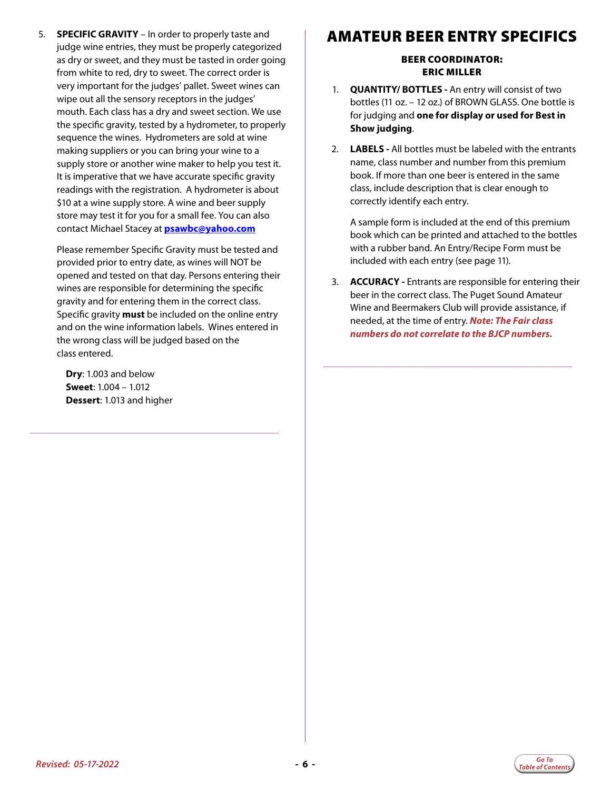5. **SPECIFIC GRAVITY** – In order to properly taste and judge wine entries, they must be properly categorized as dry or sweet, and they must be tasted in order going from white to red, dry to sweet. The correct order is very important for the judges' pallet. Sweet wines can wipe out all the sensory receptors in the judges' mouth. Each class has a dry and sweet section. We use the specific gravity, tested by a hydrometer, to properly sequence the wines. Hydrometers are sold at wine making suppliers or you can bring your wine to a supply store or another wine maker to help you test it. It is imperative that we have accurate specific gravity readings with the registration. A hydrometer is about \$10 at a wine supply store. A wine and beer supply store may test it for you for a small fee. You can also contact Michael Stacey at **psawbc@yahoo.com**

 Please remember Specific Gravity must be tested and provided prior to entry date, as wines will NOT be opened and tested on that day. Persons entering their wines are responsible for determining the specific gravity and for entering them in the correct class. Specific gravity **must** be included on the online entry and on the wine information labels. Wines entered in the wrong class will be judged based on the class entered.

**\_\_\_\_\_\_\_\_\_\_\_\_\_\_\_\_\_\_\_\_\_\_\_\_\_\_\_\_\_\_\_\_\_\_\_\_\_\_\_\_\_\_\_\_\_\_\_\_\_\_\_\_\_\_\_\_\_\_\_\_\_\_\_\_\_**

 **Dry**: 1.003 and below **Sweet**: 1.004 – 1.012 **Dessert**: 1.013 and higher

### AMATEUR BEER ENTRY SPECIFICS

#### BEER COORDINATOR: ERIC MILLER

- 1. **QUANTITY/ BOTTLES** An entry will consist of two bottles (11 oz. – 12 oz.) of BROWN GLASS. One bottle is for judging and **one for display or used for Best in Show judging**.
- 2. **LABELS** All bottles must be labeled with the entrants name, class number and number from this premium book. If more than one beer is entered in the same class, include description that is clear enough to correctly identify each entry.

 A sample form is included at the end of this premium book which can be printed and attached to the bottles with a rubber band. An Entry/Recipe Form must be included with each entry (see page 11).

3. **ACCURACY -** Entrants are responsible for entering their beer in the correct class. The Puget Sound Amateur Wine and Beermakers Club will provide assistance, if needed, at the time of entry. *Note: The Fair class numbers do not correlate to the BJCP numbers.*

**\_\_\_\_\_\_\_\_\_\_\_\_\_\_\_\_\_\_\_\_\_\_\_\_\_\_\_\_\_\_\_\_\_\_\_\_\_\_\_\_\_\_\_\_\_\_\_\_\_\_\_\_\_\_\_\_\_\_\_\_\_\_\_\_\_**

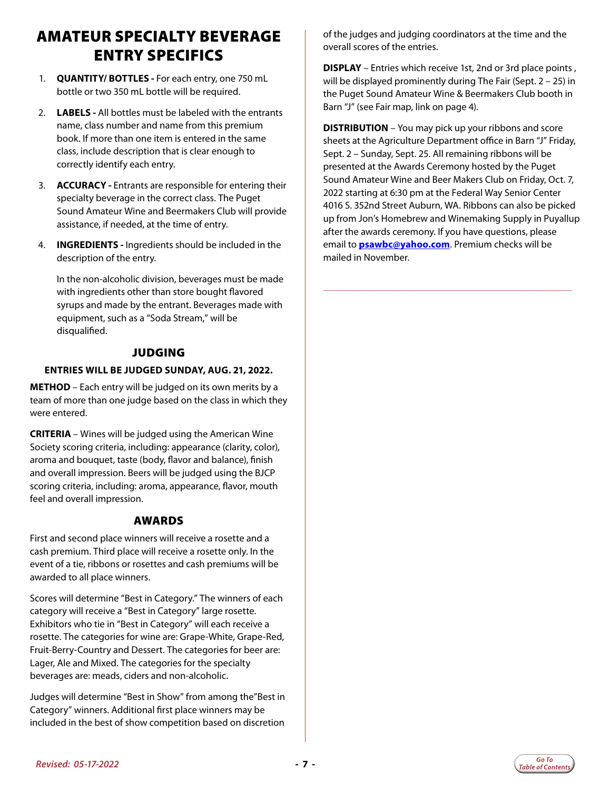### AMATEUR SPECIALTY BEVERAGE ENTRY SPECIFICS

- 1. **QUANTITY/ BOTTLES** For each entry, one 750 mL bottle or two 350 mL bottle will be required.
- 2. **LABELS** All bottles must be labeled with the entrants name, class number and name from this premium book. If more than one item is entered in the same class, include description that is clear enough to correctly identify each entry.
- 3. **ACCURACY** Entrants are responsible for entering their specialty beverage in the correct class. The Puget Sound Amateur Wine and Beermakers Club will provide assistance, if needed, at the time of entry.
- 4. **INGREDIENTS** Ingredients should be included in the description of the entry.

 In the non-alcoholic division, beverages must be made with ingredients other than store bought flavored syrups and made by the entrant. Beverages made with equipment, such as a "Soda Stream," will be disqualified.

### **JUDGING**

#### **ENTRIES WILL BE JUDGED SUNDAY, AUG. 21, 2022.**

**METHOD** – Each entry will be judged on its own merits by a team of more than one judge based on the class in which they were entered.

**CRITERIA** – Wines will be judged using the American Wine Society scoring criteria, including: appearance (clarity, color), aroma and bouquet, taste (body, flavor and balance), finish and overall impression. Beers will be judged using the BJCP scoring criteria, including: aroma, appearance, flavor, mouth feel and overall impression.

#### AWARDS

First and second place winners will receive a rosette and a cash premium. Third place will receive a rosette only. In the event of a tie, ribbons or rosettes and cash premiums will be awarded to all place winners.

Scores will determine "Best in Category." The winners of each category will receive a "Best in Category" large rosette. Exhibitors who tie in "Best in Category" will each receive a rosette. The categories for wine are: Grape-White, Grape-Red, Fruit-Berry-Country and Dessert. The categories for beer are: Lager, Ale and Mixed. The categories for the specialty beverages are: meads, ciders and non-alcoholic.

Judges will determine "Best in Show" from among the"Best in Category" winners. Additional first place winners may be included in the best of show competition based on discretion

of the judges and judging coordinators at the time and the overall scores of the entries.

**DISPLAY** – Entries which receive 1st, 2nd or 3rd place points , will be displayed prominently during The Fair (Sept. 2 – 25) in the Puget Sound Amateur Wine & Beermakers Club booth in Barn "J" (see Fair map, link on page 4).

**DISTRIBUTION** – You may pick up your ribbons and score sheets at the Agriculture Department office in Barn "J" Friday, Sept. 2 – Sunday, Sept. 25. All remaining ribbons will be presented at the Awards Ceremony hosted by the Puget Sound Amateur Wine and Beer Makers Club on Friday, Oct. 7, 2022 starting at 6:30 pm at the Federal Way Senior Center 4016 S. 352nd Street Auburn, WA. Ribbons can also be picked up from Jon's Homebrew and Winemaking Supply in Puyallup after the awards ceremony. If you have questions, please email to **psawbc@yahoo.com**. Premium checks will be mailed in November.

**\_\_\_\_\_\_\_\_\_\_\_\_\_\_\_\_\_\_\_\_\_\_\_\_\_\_\_\_\_\_\_\_\_\_\_\_\_\_\_\_\_\_\_\_\_\_\_\_\_\_\_\_\_\_\_\_\_\_\_\_\_\_\_\_\_**

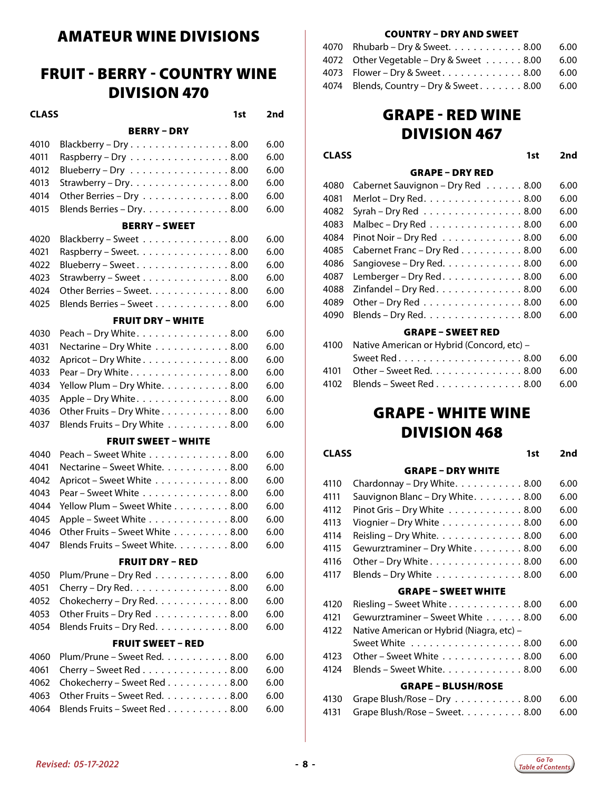### <span id="page-7-0"></span>AMATEUR WINE DIVISIONS

### FRUIT - BERRY - COUNTRY WINE DIVISION 470

**CLASS 1st 2nd**

#### BERRY – DRY

| 4010 | Blackberry - Dry8.00                                         | 6.00 |
|------|--------------------------------------------------------------|------|
| 4011 | Raspberry - Dry $\dots \dots \dots \dots \dots \dots$ 8.00   | 6.00 |
| 4012 | Blueberry - Dry $\ldots \ldots \ldots \ldots \ldots 8.00$    | 6.00 |
| 4013 | Strawberry – Dry. $\dots \dots \dots \dots \dots \dots 8.00$ | 6.00 |
| 4014 | Other Berries - Dry 8.00                                     | 6.00 |
| 4015 | Blends Berries - Dry. 8.00                                   | 6.00 |
|      | <b>BERRY - SWEET</b>                                         |      |
| 4020 | Blackberry - Sweet 8.00                                      | 6.00 |
| 4021 | Raspberry – Sweet. 8.00                                      | 6.00 |
| 4022 | Blueberry - Sweet8.00                                        | 6.00 |
| 4023 | Strawberry - Sweet 8.00                                      | 6.00 |
| 4024 | Other Berries – Sweet. $\ldots \ldots \ldots \ldots$ 8.00    | 6.00 |

#### 4025 Blends Berries – Sweet...........8.00 6.00 FRUIT DRY – WHITE

| 4030 Peach - Dry White. 8.00        | 6.00 |
|-------------------------------------|------|
| 4031 Nectarine - Dry White 8.00     | 6.00 |
| 4032 Apricot - Dry White 8.00       | 6.00 |
| 4033 Pear - Dry White. 8.00         | 6.00 |
| 4034 Yellow Plum - Dry White. 8.00  | 6.00 |
| 4035 Apple - Dry White. 8.00        | 6.00 |
| 4036 Other Fruits - Dry White 8.00  | 6.00 |
| 4037 Blends Fruits - Dry White 8.00 | 6.00 |

#### FRUIT SWEET – WHITE

| 4040 Peach - Sweet White 8.00          | 6.00 |
|----------------------------------------|------|
| 4041 Nectarine - Sweet White. 8.00     | 6.00 |
| 4042 Apricot - Sweet White 8.00        | 6.00 |
| 4043 Pear - Sweet White 8.00           | 6.00 |
| 4044 Yellow Plum – Sweet White 8.00    | 6.00 |
| 4045 Apple - Sweet White 8.00          | 6.00 |
| 4046 Other Fruits - Sweet White 8.00   | 6.00 |
| 4047 Blends Fruits - Sweet White. 8.00 | 6.00 |

#### FRUIT DRY – RED

| 4050 Plum/Prune - Dry Red 8.00 6.00                              |       |
|------------------------------------------------------------------|-------|
| 4051 Cherry – Dry Red. $\ldots \ldots \ldots \ldots \ldots 8.00$ | -6.00 |
| 4052 Chokecherry – Dry Red. $\ldots \ldots \ldots \ldots 8.00$   | -6.00 |
| 4053 Other Fruits – Dry Red $\ldots \ldots \ldots \ldots 8.00$   | -6.00 |
| 4054 Blends Fruits - Dry Red. 8.00 6.00                          |       |

#### FRUIT SWEET – RED

| 4060 Plum/Prune - Sweet Red. 8.00 6.00   |  |
|------------------------------------------|--|
| 4061 Cherry – Sweet Red 8.00 6.00        |  |
| 4062 Chokecherry - Sweet Red 8.00 6.00   |  |
| 4063 Other Fruits - Sweet Red. 8.00 6.00 |  |
| 4064 Blends Fruits - Sweet Red 8.00 6.00 |  |

#### COUNTRY – DRY AND SWEET

| 4070 Rhubarb – Dry & Sweet. 8.00 6.00         |  |
|-----------------------------------------------|--|
| 4072 Other Vegetable – Dry & Sweet 8.00 6.00  |  |
| 4073 Flower – Dry & Sweet8.00 6.00            |  |
| 4074 Blends, Country - Dry & Sweet. 8.00 6.00 |  |

### GRAPE - RED WINE DIVISION 467

**CLASS 1st 2nd**

#### GRAPE – DRY RED

| 4080 | Cabernet Sauvignon - Dry Red 8.00                         | 6.00 |
|------|-----------------------------------------------------------|------|
| 4081 | Merlot - Dry Red. 8.00                                    | 6.00 |
| 4082 | Syrah - Dry Red $\ldots \ldots \ldots \ldots \ldots 8.00$ | 6.00 |
| 4083 | Malbec - Dry Red 8.00                                     | 6.00 |
| 4084 | Pinot Noir - Dry Red 8.00                                 | 6.00 |
| 4085 | Cabernet Franc - Dry Red 8.00                             | 6.00 |
|      | 4086 Sangiovese - Dry Red. 8.00                           | 6.00 |
|      | 4087 Lemberger - Dry Red. 8.00                            | 6.00 |
|      | 4088 Zinfandel - Dry Red. 8.00                            | 6.00 |
| 4089 | Other - Dry Red 8.00                                      | 6.00 |
|      | 4090 Blends - Dry Red. 8.00                               | 6.00 |

#### GRAPE – SWEET RED

| 4100 Native American or Hybrid (Concord, etc) - |       |  |
|-------------------------------------------------|-------|--|
| Sweet Red8.00                                   | 6.00  |  |
| 4101 Other – Sweet Red. 8.00                    | -6.00 |  |
| 4102 Blends – Sweet Red 8.00 6.00               |       |  |

### GRAPE - WHITE WINE DIVISION 468

**CLASS 1st 2nd**

|      | <b>GRAPE - DRY WHITE</b>                  |      |
|------|-------------------------------------------|------|
| 4110 | Chardonnay - Dry White. 8.00              | 6.00 |
| 4111 | Sauvignon Blanc - Dry White. 8.00         | 6.00 |
| 4112 | Pinot Gris - Dry White 8.00               | 6.00 |
| 4113 | Viognier - Dry White 8.00                 | 6.00 |
| 4114 | Reisling - Dry White. 8.00                | 6.00 |
| 4115 | Gewurztraminer - Dry White 8.00           | 6.00 |
| 4116 | Other - Dry White 8.00                    | 6.00 |
| 4117 | Blends - Dry White 8.00                   | 6.00 |
|      | <b>GRAPE - SWEET WHITE</b>                |      |
| 4120 | Riesling - Sweet White 8.00               | 6.00 |
| 4121 | Gewurztraminer - Sweet White 8.00         | 6.00 |
| 4122 | Native American or Hybrid (Niagra, etc) - |      |
|      |                                           |      |
|      | Sweet White 8.00                          | 6.00 |
| 4123 | Other - Sweet White 8.00                  | 6.00 |
| 4124 | Blends - Sweet White. 8.00                | 6.00 |
|      | <b>GRAPE - BLUSH/ROSE</b>                 |      |

4131 Grape Blush/Rose – Sweet.  $\ldots \ldots \ldots 8.00$  6.00

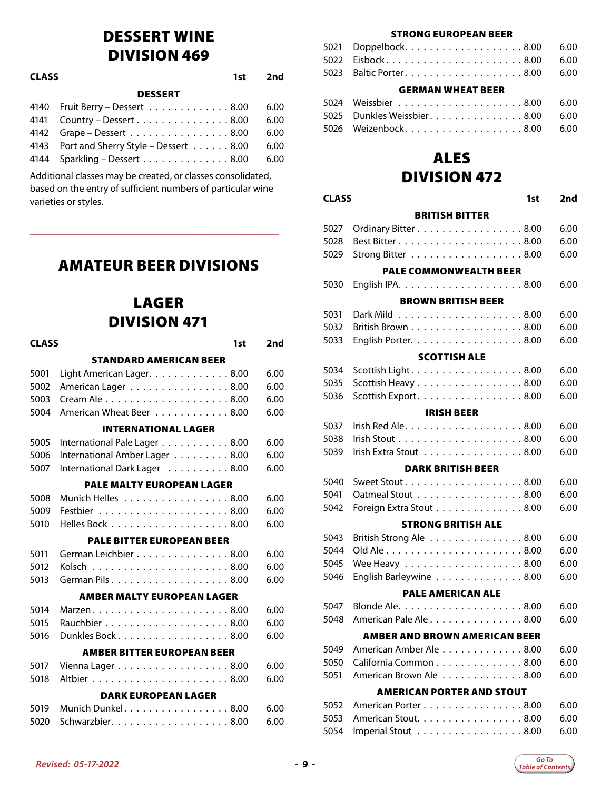### DESSERT WINE DIVISION 469

<span id="page-8-0"></span>

| <b>CLASS</b><br>1st |                                                               | 2nd  |
|---------------------|---------------------------------------------------------------|------|
|                     | <b>DESSERT</b>                                                |      |
|                     | 4140 Fruit Berry - Dessert 8.00                               | 6.00 |
|                     | 4141 Country – Dessert 8.00                                   | 6.00 |
|                     | 4142 Grape – Dessert 8.00                                     | 6.00 |
|                     | 4143 Port and Sherry Style - Dessert 8.00                     | 6.00 |
|                     | $4144$ Sparkling – Dessert $\ldots \ldots \ldots \ldots 8.00$ | 6.00 |
|                     |                                                               |      |

Additional classes may be created, or classes consolidated, based on the entry of sufficient numbers of particular wine varieties or styles.

**\_\_\_\_\_\_\_\_\_\_\_\_\_\_\_\_\_\_\_\_\_\_\_\_\_\_\_\_\_\_\_\_\_\_\_\_\_\_\_\_\_\_\_\_\_\_\_\_\_\_\_\_\_\_\_\_\_\_\_\_\_\_\_\_\_**

### AMATEUR BEER DIVISIONS

### LAGER DIVISION 471

| <b>CLASS</b> | 1st                               | 2nd  |
|--------------|-----------------------------------|------|
|              | <b>STANDARD AMERICAN BEER</b>     |      |
| 5001         | Light American Lager. 8.00        | 6.00 |
| 5002         | American Lager 8.00               | 6.00 |
| 5003         |                                   | 6.00 |
| 5004         | American Wheat Beer 8.00          | 6.00 |
|              | <b>INTERNATIONAL LAGER</b>        |      |
| 5005         | International Pale Lager 8.00     | 6.00 |
| 5006         | International Amber Lager 8.00    | 6.00 |
| 5007         | International Dark Lager 8.00     | 6.00 |
|              | <b>PALE MALTY EUROPEAN LAGER</b>  |      |
| 5008         | Munich Helles 8.00                | 6.00 |
| 5009         |                                   | 6.00 |
| 5010         |                                   | 6.00 |
|              | <b>PALE BITTER EUROPEAN BEER</b>  |      |
| 5011         | German Leichbier 8.00             | 6.00 |
| 5012         |                                   | 6.00 |
| 5013         |                                   | 6.00 |
|              | <b>AMBER MALTY EUROPEAN LAGER</b> |      |
| 5014         |                                   | 6.00 |
| 5015         |                                   | 6.00 |
| 5016         | Dunkles Bock8.00                  | 6.00 |
|              | <b>AMBER BITTER EUROPEAN BEER</b> |      |
| 5017         | Vienna Lager 8.00                 | 6.00 |
| 5018         |                                   | 6.00 |
|              | <b>DARK EUROPEAN LAGER</b>        |      |
| 5019         | Munich Dunkel. 8.00               | 6.00 |
| 5020         |                                   | 6.00 |
|              |                                   |      |

#### STRONG EUROPEAN BEER

|                          | 5023  Baltic Porter....................8.00  6.00 |  |
|--------------------------|---------------------------------------------------|--|
| <b>GERMAN WHEAT BEER</b> |                                                   |  |

| 5024 Weissbier 8.00 6.00 |  |
|--------------------------|--|
|                          |  |
|                          |  |

### ALES

### DIVISION 472

#### **CLASS 1st 2nd** BRITISH BITTER

| 5027 | Ordinary Bitter 8.00          | 6.00 |
|------|-------------------------------|------|
| 5028 |                               | 6.00 |
| 5029 | Strong Bitter 8.00            | 6.00 |
|      | <b>PALE COMMONWEALTH BEER</b> |      |
| 5030 |                               | 6.00 |
|      | <b>BROWN BRITISH BEER</b>     |      |
| 5031 |                               | 6.00 |
| 5032 | British Brown 8.00            | 6.00 |
| 5033 | English Porter. 8.00          | 6.00 |
|      | <b>SCOTTISH ALE</b>           |      |
| 5034 | Scottish Light. 8.00          | 6.00 |
| 5035 | Scottish Heavy 8.00           | 6.00 |
| 5036 | Scottish Export. 8.00         | 6.00 |
|      | <b>IRISH BEER</b>             |      |
| 5037 |                               | 6.00 |
| 5038 |                               | 6.00 |
| 5039 | Irish Extra Stout 8.00        | 6.00 |
|      | <b>DARK BRITISH BEER</b>      |      |
| 5040 |                               | 6.00 |
| 5041 | Oatmeal Stout 8.00            | 6.00 |
| 5042 | Foreign Extra Stout 8.00      | 6.00 |
|      | <b>STRONG BRITISH ALE</b>     |      |
|      |                               |      |

### British Strong Ale . . . . . . . . . . . . . . . 8.00 6.00 Old Ale........................8.00 6.00 5045 Wee Heavy . . . . . . . . . . . . . . . . . . 8.00 6.00

| 5046 English Barleywine 8.00 6.00 |  |
|-----------------------------------|--|
| <b>PALE AMERICAN ALE</b>          |  |
|                                   |  |

|                                  | 5048  American Pale Ale 8.00         | -6.00 |
|----------------------------------|--------------------------------------|-------|
|                                  | <b>AMBER AND BROWN AMERICAN BEER</b> |       |
|                                  | 5049  American Amber Ale 8.00        | 6.00  |
|                                  | 5050     California Common 8.00      | 6.00  |
|                                  | 5051 American Brown Ale 8.00         | 6.00  |
| <b>AMERICAN PORTER AND STOUT</b> |                                      |       |

| 5052  American Porter 8.00   6.00 |  |
|-----------------------------------|--|
| 5053 American Stout. 8.00   6.00  |  |
| 5054 Imperial Stout 8.00 6.00     |  |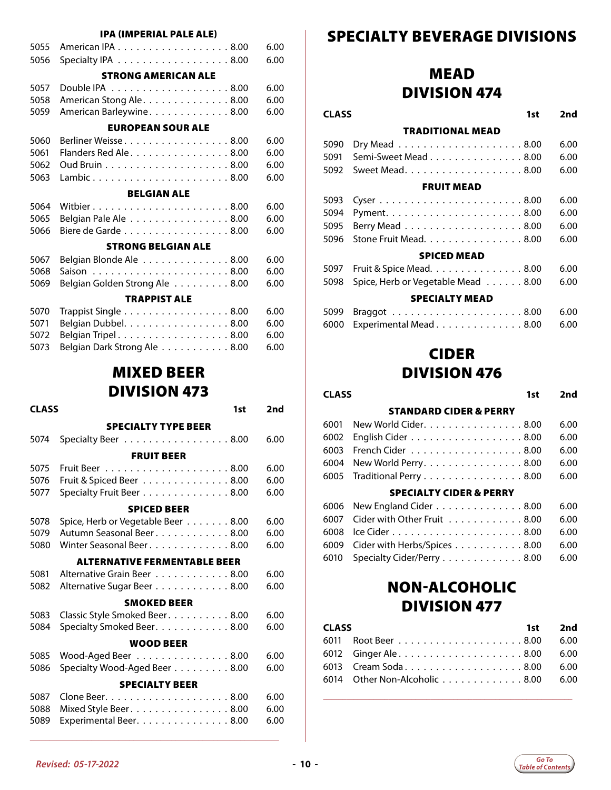#### IPA (IMPERIAL PALE ALE)

<span id="page-9-0"></span>

| 5055 | American IPA 8.00              | 6.00 |
|------|--------------------------------|------|
| 5056 | Specialty IPA 8.00             | 6.00 |
|      | <b>STRONG AMERICAN ALE</b>     |      |
| 5057 |                                | 6.00 |
| 5058 | American Stong Ale. 8.00       | 6.00 |
| 5059 | American Barleywine. 8.00      | 6.00 |
|      | <b>EUROPEAN SOUR ALE</b>       |      |
| 5060 | Berliner Weisse8.00            | 6.00 |
| 5061 | Flanders Red Ale8.00           | 6.00 |
| 5062 |                                | 6.00 |
| 5063 | Lambic8.00                     | 6.00 |
|      | <b>BELGIAN ALE</b>             |      |
| 5064 |                                | 6.00 |
| 5065 | Belgian Pale Ale 8.00          | 6.00 |
| 5066 | Biere de Garde 8.00            | 6.00 |
|      | <b>STRONG BELGIAN ALE</b>      |      |
| 5067 | Belgian Blonde Ale 8.00        | 6.00 |
| 5068 |                                | 6.00 |
| 5069 | Belgian Golden Strong Ale 8.00 | 6.00 |
|      | <b>TRAPPIST ALE</b>            |      |
| 5070 | Trappist Single 8.00           | 6.00 |
| 5071 | Belgian Dubbel. 8.00           | 6.00 |
| 5072 | Belgian Tripel. 8.00           | 6.00 |

### MIXED BEER DIVISION 473

5073 Belgian Dark Strong Ale . . . . . . . . . . . 8.00 6.00

| <b>CLASS</b> | 1st                                 | 2nd  |
|--------------|-------------------------------------|------|
|              | <b>SPECIALTY TYPE BEER</b>          |      |
| 5074         | Specialty Beer 8.00                 | 6.00 |
|              | <b>FRUIT BEER</b>                   |      |
| 5075         |                                     | 6.00 |
| 5076         | Fruit & Spiced Beer 8.00            | 6.00 |
| 5077         | Specialty Fruit Beer 8.00           | 6.00 |
|              | <b>SPICED BEER</b>                  |      |
| 5078         | Spice, Herb or Vegetable Beer 8.00  | 6.00 |
| 5079         | Autumn Seasonal Beer. 8.00          | 6.00 |
| 5080         | Winter Seasonal Beer. 8.00          | 6.00 |
|              | <b>ALTERNATIVE FERMENTABLE BEER</b> |      |
| 5081         | Alternative Grain Beer 8.00         | 6.00 |
| 5082         | Alternative Sugar Beer 8.00         | 6.00 |
|              | <b>SMOKED BEER</b>                  |      |
| 5083         | Classic Style Smoked Beer. 8.00     | 6.00 |
| 5084         | Specialty Smoked Beer. 8.00         | 6.00 |
|              | <b>WOOD BEER</b>                    |      |
| 5085         | Wood-Aged Beer 8.00                 | 6.00 |
| 5086         | Specialty Wood-Aged Beer 8.00       | 6.00 |
|              | <b>SPECIALTY BEER</b>               |      |
| 5087         |                                     | 6.00 |
| 5088         | Mixed Style Beer. 8.00              | 6.00 |
| 5089         | Experimental Beer. 8.00             | 6.00 |
|              |                                     |      |

**\_\_\_\_\_\_\_\_\_\_\_\_\_\_\_\_\_\_\_\_\_\_\_\_\_\_\_\_\_\_\_\_\_\_\_\_\_\_\_\_\_\_\_\_\_\_\_\_\_\_\_\_\_\_\_\_\_\_\_\_\_\_\_\_\_**

### SPECIALTY BEVERAGE DIVISIONS

### MEAD DIVISION 474

#### **CLASS 1st 2nd**

### TRADITIONAL MEAD

| 5090 Dry Mead 8.00   6.00                    |  |
|----------------------------------------------|--|
| 5091 Semi-Sweet Mead 8.00 6.00               |  |
| 5092 Sweet Mead...................8.00  6.00 |  |
| <b>FRUIT MEAD</b>                            |  |
|                                              |  |

|                    | 5095 Berry Mead 8.00                         | 6.00 |
|--------------------|----------------------------------------------|------|
|                    | 5096 Stone Fruit Mead. 8.00 6.00             |      |
| <b>SPICED MEAD</b> |                                              |      |
|                    |                                              | 6.00 |
|                    | 5098 Spice, Herb or Vegetable Mead 8.00 6.00 |      |

#### SPECIALTY MEAD

| 6000 Experimental Mead 8.00 6.00 |  |
|----------------------------------|--|

### CIDER DIVISION 476

### **CLASS 1st 2nd** STANDARD CIDER & PERRY 6001 New World Cider. . . . . . . . . . . . . . . 8.00 6.00 6002 English Cider . . . . . . . . . . . . . . . . . 8.00 6.00 6003 French Cider . . . . . . . . . . . . . . . . . . 8.00 6.00 6004 New World Perry. . . . . . . . . . . . . . . 8.00 6.00 6005 Traditional Perry . . . . . . . . . . . . . . . 8.00 6.00 SPECIALTY CIDER & PERRY 6006 New England Cider . . . . . . . . . . . . . 8.00 6.00 6007 Cider with Other Fruit . . . . . . . . . . . . 8.00 6.00

| 6009 $\,$ Cider with Herbs/Spices $\,.\,.\,.\,.\,.\,.\,.\,.\,.\,.\,.\,8.00\,$ 6.00 $\,$ |  |
|-----------------------------------------------------------------------------------------|--|
| 6010 Specialty Cider/Perry 8.00 6.00                                                    |  |

### NON-ALCOHOLIC DIVISION 477

| <b>CLASS</b> |  |                                                                                                         |
|--------------|--|---------------------------------------------------------------------------------------------------------|
|              |  |                                                                                                         |
|              |  |                                                                                                         |
|              |  |                                                                                                         |
|              |  |                                                                                                         |
|              |  | 1st 2nd<br>6012 Ginger Ale8.00 6.00<br>6013 Cream Soda. 8.00 6.00<br>6014 Other Non-Alcoholic 8.00 6.00 |

**\_\_\_\_\_\_\_\_\_\_\_\_\_\_\_\_\_\_\_\_\_\_\_\_\_\_\_\_\_\_\_\_\_\_\_\_\_\_\_\_\_\_\_\_\_\_\_\_\_\_\_\_\_\_\_\_\_\_\_\_\_\_\_\_\_**

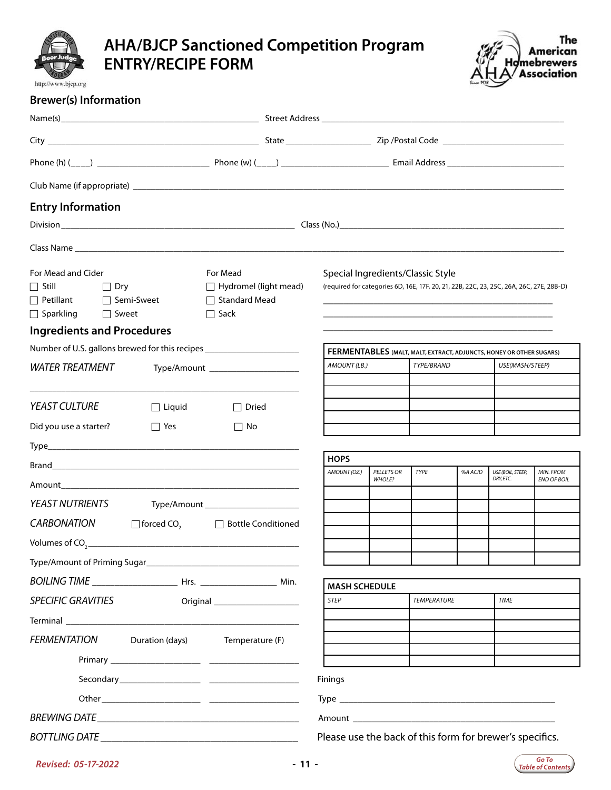<span id="page-10-0"></span>

### **AHA/BJCP Sanctioned Competition Program ENTRY/RECIPE FORM**



| <b>Brewer(s) Information</b> |
|------------------------------|
|                              |

| <b>Entry Information</b>                                                                                 |                                                                                                                                                                                                                                |                                                                                                                                                                                                                                                                   |                                                          |                                                                                   |                    |         |                                                                                         |                    |
|----------------------------------------------------------------------------------------------------------|--------------------------------------------------------------------------------------------------------------------------------------------------------------------------------------------------------------------------------|-------------------------------------------------------------------------------------------------------------------------------------------------------------------------------------------------------------------------------------------------------------------|----------------------------------------------------------|-----------------------------------------------------------------------------------|--------------------|---------|-----------------------------------------------------------------------------------------|--------------------|
|                                                                                                          |                                                                                                                                                                                                                                |                                                                                                                                                                                                                                                                   |                                                          |                                                                                   |                    |         |                                                                                         |                    |
|                                                                                                          |                                                                                                                                                                                                                                |                                                                                                                                                                                                                                                                   |                                                          |                                                                                   |                    |         |                                                                                         |                    |
| For Mead and Cider<br>$\Box$ Still<br>Dry ⊃<br>$\Box$ Petillant $\Box$ Semi-Sweet<br>□ Sparkling □ Sweet |                                                                                                                                                                                                                                | For Mead<br>$\Box$ Hydromel (light mead)<br>$\Box$ Standard Mead<br>$\Box$ Sack                                                                                                                                                                                   | Special Ingredients/Classic Style                        |                                                                                   |                    |         | (required for categories 6D, 16E, 17F, 20, 21, 22B, 22C, 23, 25C, 26A, 26C, 27E, 28B-D) |                    |
| <b>Ingredients and Procedures</b>                                                                        |                                                                                                                                                                                                                                | Number of U.S. gallons brewed for this recipes _________________________________                                                                                                                                                                                  |                                                          |                                                                                   |                    |         |                                                                                         |                    |
| <b>WATER TREATMENT</b>                                                                                   |                                                                                                                                                                                                                                |                                                                                                                                                                                                                                                                   | AMOUNT (LB.)                                             | FERMENTABLES (MALT, MALT, EXTRACT, ADJUNCTS, HONEY OR OTHER SUGARS)<br>TYPE/BRAND |                    |         | USE(MASH/STEEP)                                                                         |                    |
|                                                                                                          |                                                                                                                                                                                                                                | Type/Amount _______________________                                                                                                                                                                                                                               |                                                          |                                                                                   |                    |         |                                                                                         |                    |
|                                                                                                          |                                                                                                                                                                                                                                |                                                                                                                                                                                                                                                                   |                                                          |                                                                                   |                    |         |                                                                                         |                    |
| <b>YEAST CULTURE</b>                                                                                     | $\Box$ Liquid                                                                                                                                                                                                                  | $\Box$ Dried                                                                                                                                                                                                                                                      |                                                          |                                                                                   |                    |         |                                                                                         |                    |
| Did you use a starter?                                                                                   | $\Box$ Yes                                                                                                                                                                                                                     | $\Box$ No                                                                                                                                                                                                                                                         |                                                          |                                                                                   |                    |         |                                                                                         |                    |
|                                                                                                          |                                                                                                                                                                                                                                |                                                                                                                                                                                                                                                                   |                                                          |                                                                                   |                    |         |                                                                                         |                    |
|                                                                                                          |                                                                                                                                                                                                                                |                                                                                                                                                                                                                                                                   | <b>HOPS</b><br>AMOUNT (OZ.)                              | <b>PELLETS OR</b>                                                                 | TYPE               | %A ACID | USE (BOIL, STEEP,                                                                       | <b>MIN. FROM</b>   |
|                                                                                                          |                                                                                                                                                                                                                                |                                                                                                                                                                                                                                                                   |                                                          | WHOLE?                                                                            |                    |         | DRY, ETC.                                                                               | <b>END OF BOIL</b> |
| <b>YEAST NUTRIENTS</b>                                                                                   |                                                                                                                                                                                                                                | Type/Amount __________________________                                                                                                                                                                                                                            |                                                          |                                                                                   |                    |         |                                                                                         |                    |
| <b>CARBONATION</b>                                                                                       |                                                                                                                                                                                                                                | $\Box$ forced CO <sub>2</sub> $\Box$ Bottle Conditioned                                                                                                                                                                                                           |                                                          |                                                                                   |                    |         |                                                                                         |                    |
|                                                                                                          |                                                                                                                                                                                                                                | Volumes of $CO_{2}$ and $CO_{3}$ and $CO_{4}$ and $CO_{5}$ and $CO_{6}$ and $CO_{7}$ and $CO_{7}$ and $CO_{8}$ and $CO_{9}$ and $CO_{9}$ and $CO_{9}$ and $CO_{9}$ and $CO_{9}$ and $CO_{9}$ and $CO_{9}$ and $CO_{9}$ and $CO_{9}$ and $CO_{9}$ and $CO_{9}$ and |                                                          |                                                                                   |                    |         |                                                                                         |                    |
|                                                                                                          |                                                                                                                                                                                                                                |                                                                                                                                                                                                                                                                   |                                                          |                                                                                   |                    |         |                                                                                         |                    |
|                                                                                                          |                                                                                                                                                                                                                                |                                                                                                                                                                                                                                                                   |                                                          |                                                                                   |                    |         |                                                                                         |                    |
|                                                                                                          |                                                                                                                                                                                                                                |                                                                                                                                                                                                                                                                   | <b>MASH SCHEDULE</b><br><b>STEP</b>                      |                                                                                   | <b>TEMPERATURE</b> |         | <b>TIME</b>                                                                             |                    |
| <b>SPECIFIC GRAVITIES</b>                                                                                |                                                                                                                                                                                                                                |                                                                                                                                                                                                                                                                   |                                                          |                                                                                   |                    |         |                                                                                         |                    |
|                                                                                                          | Terminal and the contract of the contract of the contract of the contract of the contract of the contract of the contract of the contract of the contract of the contract of the contract of the contract of the contract of t |                                                                                                                                                                                                                                                                   |                                                          |                                                                                   |                    |         |                                                                                         |                    |
| <b>FERMENTATION</b>                                                                                      | Duration (days)                                                                                                                                                                                                                | Temperature (F)                                                                                                                                                                                                                                                   |                                                          |                                                                                   |                    |         |                                                                                         |                    |
|                                                                                                          |                                                                                                                                                                                                                                |                                                                                                                                                                                                                                                                   |                                                          |                                                                                   |                    |         |                                                                                         |                    |
|                                                                                                          |                                                                                                                                                                                                                                |                                                                                                                                                                                                                                                                   | Finings                                                  |                                                                                   |                    |         |                                                                                         |                    |
|                                                                                                          |                                                                                                                                                                                                                                |                                                                                                                                                                                                                                                                   |                                                          |                                                                                   |                    |         |                                                                                         |                    |
|                                                                                                          |                                                                                                                                                                                                                                |                                                                                                                                                                                                                                                                   |                                                          |                                                                                   |                    |         |                                                                                         |                    |
| <b>BOTTLING DATE</b>                                                                                     |                                                                                                                                                                                                                                |                                                                                                                                                                                                                                                                   | Please use the back of this form for brewer's specifics. |                                                                                   |                    |         |                                                                                         |                    |